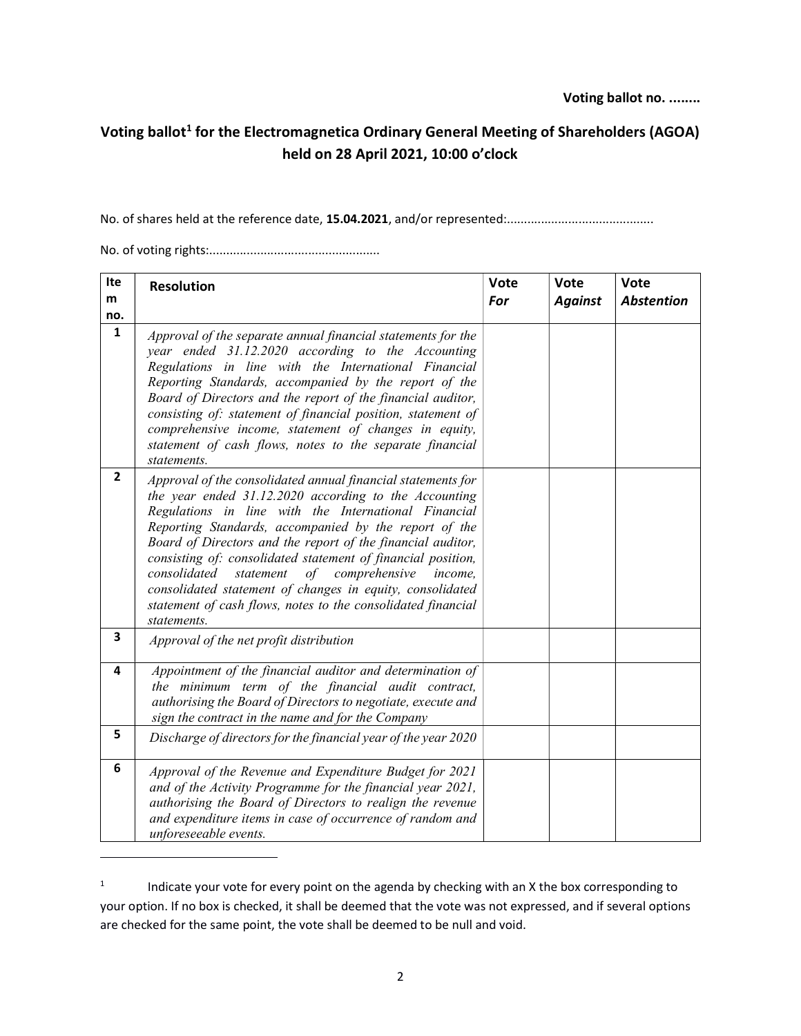## Voting ballot<sup>1</sup> for the Electromagnetica Ordinary General Meeting of Shareholders (AGOA) held on 28 April 2021, 10:00 o'clock

No. of shares held at the reference date, 15.04.2021, and/or represented:...........................................

No. of voting rights:..................................................

| Ite            | <b>Resolution</b>                                                                                                                                                                                                                                                                                                                                                                                                                                                                                                                                                             | Vote | Vote           | <b>Vote</b>       |
|----------------|-------------------------------------------------------------------------------------------------------------------------------------------------------------------------------------------------------------------------------------------------------------------------------------------------------------------------------------------------------------------------------------------------------------------------------------------------------------------------------------------------------------------------------------------------------------------------------|------|----------------|-------------------|
| m              |                                                                                                                                                                                                                                                                                                                                                                                                                                                                                                                                                                               | For  | <b>Against</b> | <b>Abstention</b> |
| no.            |                                                                                                                                                                                                                                                                                                                                                                                                                                                                                                                                                                               |      |                |                   |
| $\mathbf{1}$   | Approval of the separate annual financial statements for the<br>year ended 31.12.2020 according to the Accounting<br>Regulations in line with the International Financial<br>Reporting Standards, accompanied by the report of the<br>Board of Directors and the report of the financial auditor,<br>consisting of: statement of financial position, statement of<br>comprehensive income, statement of changes in equity,<br>statement of cash flows, notes to the separate financial<br>statements.                                                                         |      |                |                   |
| $\overline{2}$ | Approval of the consolidated annual financial statements for<br>the year ended 31.12.2020 according to the Accounting<br>Regulations in line with the International Financial<br>Reporting Standards, accompanied by the report of the<br>Board of Directors and the report of the financial auditor,<br>consisting of: consolidated statement of financial position,<br>consolidated<br>of comprehensive<br>statement<br>income,<br>consolidated statement of changes in equity, consolidated<br>statement of cash flows, notes to the consolidated financial<br>statements. |      |                |                   |
| 3              | Approval of the net profit distribution                                                                                                                                                                                                                                                                                                                                                                                                                                                                                                                                       |      |                |                   |
| 4              | Appointment of the financial auditor and determination of<br>the minimum term of the financial audit contract,<br>authorising the Board of Directors to negotiate, execute and<br>sign the contract in the name and for the Company                                                                                                                                                                                                                                                                                                                                           |      |                |                   |
| 5              | Discharge of directors for the financial year of the year 2020                                                                                                                                                                                                                                                                                                                                                                                                                                                                                                                |      |                |                   |
| 6              | Approval of the Revenue and Expenditure Budget for 2021<br>and of the Activity Programme for the financial year 2021,<br>authorising the Board of Directors to realign the revenue<br>and expenditure items in case of occurrence of random and<br>unforeseeable events.                                                                                                                                                                                                                                                                                                      |      |                |                   |

 $1$  lndicate your vote for every point on the agenda by checking with an X the box corresponding to your option. If no box is checked, it shall be deemed that the vote was not expressed, and if several options are checked for the same point, the vote shall be deemed to be null and void.